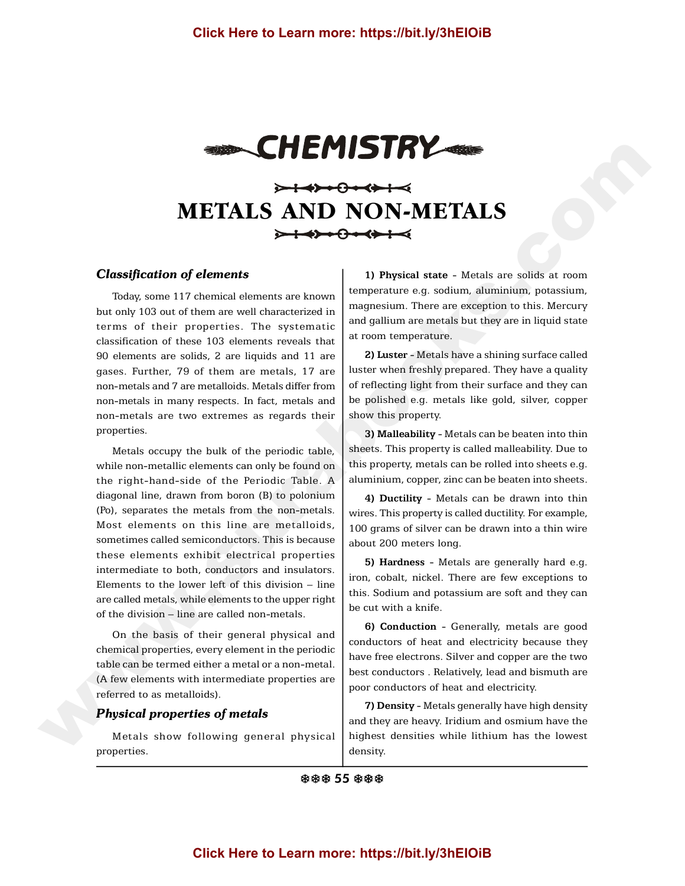

# **METALS AND NON-METALS**

## *Classification of elements*

Today, some 117 chemical elements are known but only 103 out of them are well characterized in terms of their properties. The systematic classification of these 103 elements reveals that 90 elements are solids, 2 are liquids and 11 are gases. Further, 79 of them are metals, 17 are non-metals and 7 are metalloids. Metals differ from non-metals in many respects. In fact, metals and non-metals are two extremes as regards their properties.

Metals occupy the bulk of the periodic table, while non-metallic elements can only be found on the right-hand-side of the Periodic Table. A diagonal line, drawn from boron (B) to polonium (Po), separates the metals from the non-metals. Most elements on this line are metalloids, sometimes called semiconductors. This is because these elements exhibit electrical properties intermediate to both, conductors and insulators. Elements to the lower left of this division – line are called metals, while elements to the upper right of the division – line are called non-metals. Click Here to Learn more: https://bit.ly/3hEIOIB<br>
SAC Click Here to Learn more: https://bit.ly/3hEIOIB<br>
Classification of elements<br>
Classification of elements<br>
Classification of elements<br>
Classification of elements<br>
Class

On the basis of their general physical and chemical properties, every element in the periodic table can be termed either a metal or a non-metal. (A few elements with intermediate properties are referred to as metalloids).

## *Physical properties of metals*

Metals show following general physical properties.

**1) Physical state** - Metals are solids at room temperature e.g. sodium, aluminium, potassium, magnesium. There are exception to this. Mercury and gallium are metals but they are in liquid state at room temperature.

**2) Luster** - Metals have a shining surface called luster when freshly prepared. They have a quality of reflecting light from their surface and they can be polished e.g. metals like gold, silver, copper show this property.

**3) Malleability** - Metals can be beaten into thin sheets. This property is called malleability. Due to this property, metals can be rolled into sheets e.g. aluminium, copper, zinc can be beaten into sheets.

**4) Ductility** - Metals can be drawn into thin wires. This property is called ductility. For example, 100 grams of silver can be drawn into a thin wire about 200 meters long.

**5) Hardness** - Metals are generally hard e.g. iron, cobalt, nickel. There are few exceptions to this. Sodium and potassium are soft and they can be cut with a knife.

**6) Conduction** - Generally, metals are good conductors of heat and electricity because they have free electrons. Silver and copper are the two best conductors . Relatively, lead and bismuth are poor conductors of heat and electricity.

**7) Density** - Metals generally have high density and they are heavy. Iridium and osmium have the highest densities while lithium has the lowest density.

参参参 55 参参参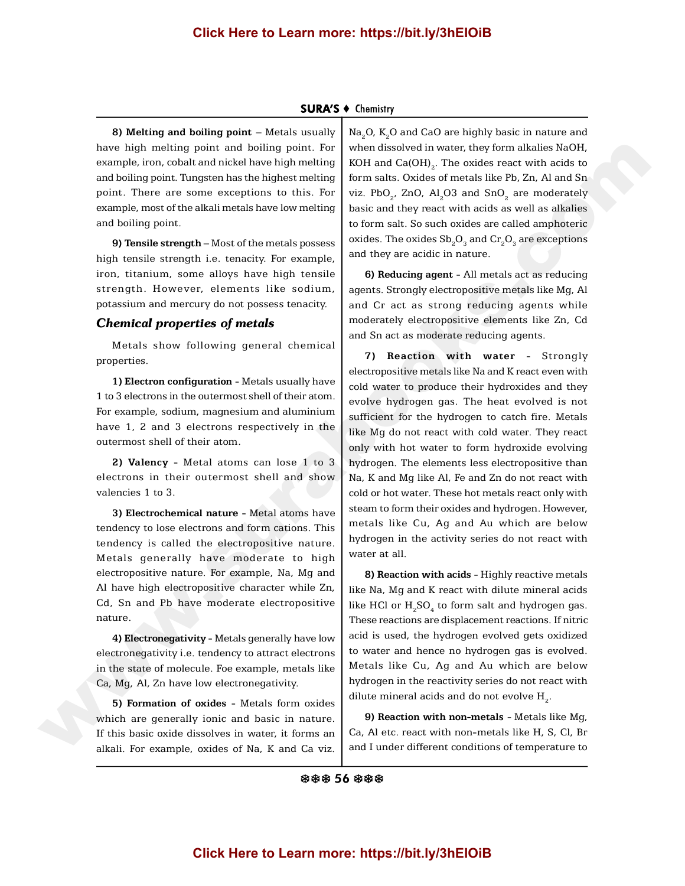# **Click Here to Learn more: https://bit.ly/3hEIOiB**

#### **SURA'S ♦ Chemistry**

**8) Melting and boiling point** – Metals usually have high melting point and boiling point. For example, iron, cobalt and nickel have high melting and boiling point. Tungsten has the highest melting point. There are some exceptions to this. For example, most of the alkali metals have low melting and boiling point.

**9) Tensile strength** – Most of the metals possess high tensile strength i.e. tenacity. For example, iron, titanium, some alloys have high tensile strength. However, elements like sodium, potassium and mercury do not possess tenacity.

#### *Chemical properties of metals*

Metals show following general chemical properties.

**1) Electron configuration** - Metals usually have 1 to 3 electrons in the outermost shell of their atom. For example, sodium, magnesium and aluminium have 1, 2 and 3 electrons respectively in the outermost shell of their atom.

**2) Valency** - Metal atoms can lose 1 to 3 electrons in their outermost shell and show valencies 1 to 3.

**3) Electrochemical nature** - Metal atoms have tendency to lose electrons and form cations. This tendency is called the electropositive nature. Metals generally have moderate to high electropositive nature. For example, Na, Mg and Al have high electropositive character while Zn, Cd, Sn and Pb have moderate electropositive nature.

**4) Electronegativity** - Metals generally have low electronegativity i.e. tendency to attract electrons in the state of molecule. Foe example, metals like Ca, Mg, Al, Zn have low electronegativity.

**5) Formation of oxides** - Metals form oxides which are generally ionic and basic in nature. If this basic oxide dissolves in water, it forms an alkali. For example, oxides of Na, K and Ca viz.

Na<sub>2</sub>O, K<sub>2</sub>O and CaO are highly basic in nature and when dissolved in water, they form alkalies NaOH, KOH and  $\mathrm{Ca(OH)}_{2}$ . The oxides react with acids to form salts. Oxides of metals like Pb, Zn, Al and Sn viz. PbO $_{\rm 2}$ , ZnO, Al $_{\rm 2}$ O3 and SnO $_{\rm 2}$  are moderately basic and they react with acids as well as alkalies to form salt. So such oxides are called amphoteric oxides. The oxides  $\mathrm{Sb}_\mathrm{_2}\mathrm{O}_\mathrm{_3}$  and  $\mathrm{Cr}_\mathrm{_2}\mathrm{O}_\mathrm{_3}$  are exceptions and they are acidic in nature.

**6) Reducing agent** - All metals act as reducing agents. Strongly electropositive metals like Mg, Al and Cr act as strong reducing agents while moderately electropositive elements like Zn, Cd and Sn act as moderate reducing agents.

**7) Reaction with water** - Strongly electropositive metals like Na and K react even with cold water to produce their hydroxides and they evolve hydrogen gas. The heat evolved is not sufficient for the hydrogen to catch fire. Metals like Mg do not react with cold water. They react only with hot water to form hydroxide evolving hydrogen. The elements less electropositive than Na, K and Mg like Al, Fe and Zn do not react with cold or hot water. These hot metals react only with steam to form their oxides and hydrogen. However, metals like Cu, Ag and Au which are below hydrogen in the activity series do not react with water at all. have being include a between a between a between a between the presentations of the same of the same state and the same of the same of the same of the same of the same of the same of the same of the same of the same of th

**8) Reaction with acids** - Highly reactive metals like Na, Mg and K react with dilute mineral acids like HCl or  $\mathrm{H}_{_2}\mathrm{SO}_{_4}$  to form salt and hydrogen gas. These reactions are displacement reactions. If nitric acid is used, the hydrogen evolved gets oxidized to water and hence no hydrogen gas is evolved. Metals like Cu, Ag and Au which are below hydrogen in the reactivity series do not react with dilute mineral acids and do not evolve  $\mathrm{H}_{_{2}}$ .

**9) Reaction with non-metals** - Metals like Mg, Ca, Al etc. react with non-metals like H, S, Cl, Br and I under different conditions of temperature to

※※※ 56 ※※※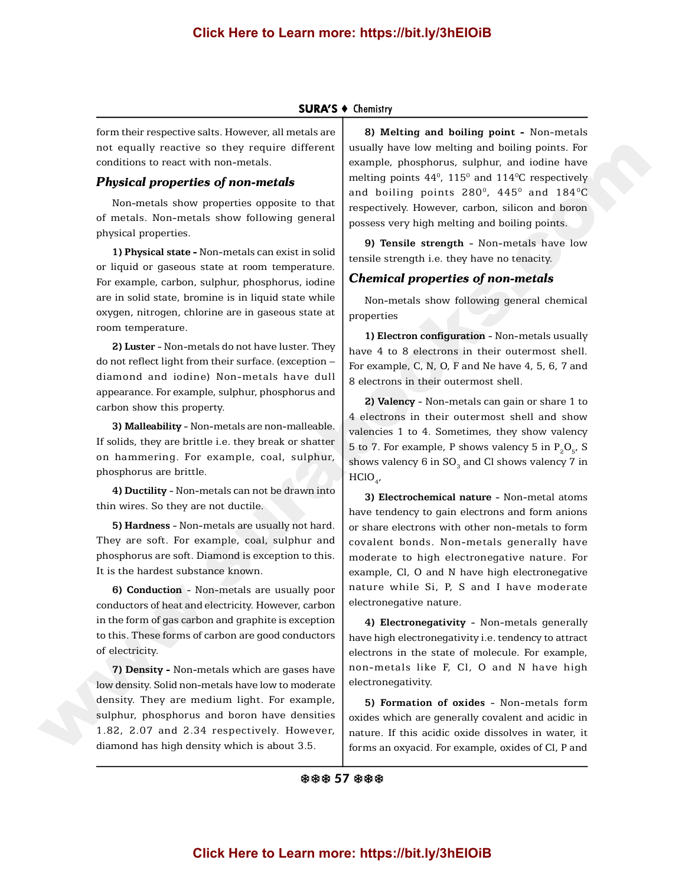# **Click Here to Learn more: https://bit.ly/3hEIOiB**

#### **SURA'S + Chemistry**

form their respective salts. However, all metals are not equally reactive so they require different conditions to react with non-metals.

## *Physical properties of non-metals*

Non-metals show properties opposite to that of metals. Non-metals show following general physical properties.

**1) Physical state -** Non-metals can exist in solid or liquid or gaseous state at room temperature. For example, carbon, sulphur, phosphorus, iodine are in solid state, bromine is in liquid state while oxygen, nitrogen, chlorine are in gaseous state at room temperature.

**2) Luster** - Non-metals do not have luster. They do not reflect light from their surface. (exception – diamond and iodine) Non-metals have dull appearance. For example, sulphur, phosphorus and carbon show this property.

**3) Malleability** - Non-metals are non-malleable. If solids, they are brittle i.e. they break or shatter on hammering. For example, coal, sulphur, phosphorus are brittle.

**4) Ductility** - Non-metals can not be drawn into thin wires. So they are not ductile.

**5) Hardness** - Non-metals are usually not hard. They are soft. For example, coal, sulphur and phosphorus are soft. Diamond is exception to this. It is the hardest substance known.

**6) Conduction** - Non-metals are usually poor conductors of heat and electricity. However, carbon in the form of gas carbon and graphite is exception to this. These forms of carbon are good conductors of electricity.

**7) Density -** Non-metals which are gases have low density. Solid non-metals have low to moderate density. They are medium light. For example, sulphur, phosphorus and boron have densities 1.82, 2.07 and 2.34 respectively. However, diamond has high density which is about 3.5.

**8) Melting and boiling point -** Non-metals usually have low melting and boiling points. For example, phosphorus, sulphur, and iodine have melting points  $44^{\rm o}$ ,  $115^{\rm o}$  and  $114^{\rm o}$ C respectively and boiling points  $280^{\rm o}$ ,  $445^{\rm o}$  and  $184^{\rm o}{\rm C}$ respectively. However, carbon, silicon and boron possess very high melting and boiling points.

**9) Tensile strength** - Non-metals have low tensile strength i.e. they have no tenacity.

## *Chemical properties of non-metals*

Non-metals show following general chemical properties

**1) Electron configuration** - Non-metals usually have 4 to 8 electrons in their outermost shell. For example, C, N, O, F and Ne have 4, 5, 6, 7 and 8 electrons in their outermost shell.

**2) Valency** - Non-metals can gain or share 1 to 4 electrons in their outermost shell and show valencies 1 to 4. Sometimes, they show valency 5 to 7. For example, P shows valency 5 in  $P_2O_{5}$ , S shows valency  $6$  in  $\mathrm{SO}_3^{}$  and Cl shows valency  $7$  in  $HClO_{_{4'}}$ 

**3) Electrochemical nature** - Non-metal atoms have tendency to gain electrons and form anions or share electrons with other non-metals to form covalent bonds. Non-metals generally have moderate to high electronegative nature. For example, Cl, O and N have high electronegative nature while Si, P, S and I have moderate electronegative nature. and equality reactive to their requires different usually have been continuous continuous companion and the proposition of the companion of the continuous companion of the companion of the companion of the companion of th

**4) Electronegativity** - Non-metals generally have high electronegativity i.e. tendency to attract electrons in the state of molecule. For example, non-metals like F, Cl, O and N have high electronegativity.

**5) Formation of oxides** - Non-metals form oxides which are generally covalent and acidic in nature. If this acidic oxide dissolves in water, it forms an oxyacid. For example, oxides of Cl, P and

#### ※※※ 57 ※※※